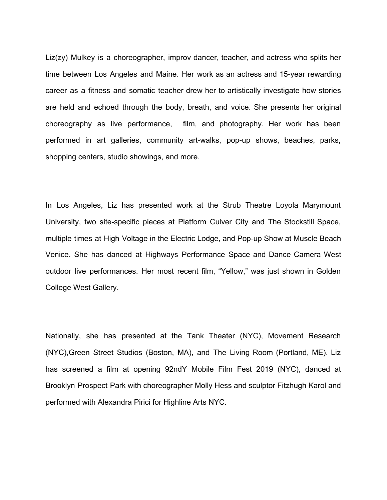Liz(zy) Mulkey is a choreographer, improv dancer, teacher, and actress who splits her time between Los Angeles and Maine. Her work as an actress and 15-year rewarding career as a fitness and somatic teacher drew her to artistically investigate how stories are held and echoed through the body, breath, and voice. She presents her original choreography as live performance, film, and photography. Her work has been performed in art galleries, community art-walks, pop-up shows, beaches, parks, shopping centers, studio showings, and more.

In Los Angeles, Liz has presented work at the Strub Theatre Loyola Marymount University, two site-specific pieces at Platform Culver City and The Stockstill Space, multiple times at High Voltage in the Electric Lodge, and Pop-up Show at Muscle Beach Venice. She has danced at Highways Performance Space and Dance Camera West outdoor live performances. Her most recent film, "Yellow," was just shown in Golden College West Gallery.

Nationally, she has presented at the Tank Theater (NYC), Movement Research (NYC),Green Street Studios (Boston, MA), and The Living Room (Portland, ME). Liz has screened a film at opening 92ndY Mobile Film Fest 2019 (NYC), danced at Brooklyn Prospect Park with choreographer Molly Hess and sculptor Fitzhugh Karol and performed with Alexandra Pirici for Highline Arts NYC.